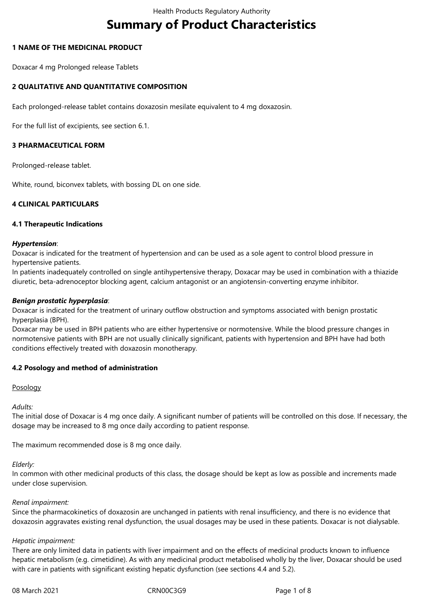# **Summary of Product Characteristics**

## **1 NAME OF THE MEDICINAL PRODUCT**

Doxacar 4 mg Prolonged release Tablets

## **2 QUALITATIVE AND QUANTITATIVE COMPOSITION**

Each prolonged-release tablet contains doxazosin mesilate equivalent to 4 mg doxazosin.

For the full list of excipients, see section 6.1.

## **3 PHARMACEUTICAL FORM**

Prolonged-release tablet.

White, round, biconvex tablets, with bossing DL on one side.

## **4 CLINICAL PARTICULARS**

## **4.1 Therapeutic Indications**

#### *Hypertension*:

Doxacar is indicated for the treatment of hypertension and can be used as a sole agent to control blood pressure in hypertensive patients.

In patients inadequately controlled on single antihypertensive therapy, Doxacar may be used in combination with a thiazide diuretic, beta-adrenoceptor blocking agent, calcium antagonist or an angiotensin-converting enzyme inhibitor.

#### *Benign prostatic hyperplasia*:

Doxacar is indicated for the treatment of urinary outflow obstruction and symptoms associated with benign prostatic hyperplasia (BPH).

Doxacar may be used in BPH patients who are either hypertensive or normotensive. While the blood pressure changes in normotensive patients with BPH are not usually clinically significant, patients with hypertension and BPH have had both conditions effectively treated with doxazosin monotherapy.

## **4.2 Posology and method of administration**

#### Posology

#### *Adults:*

The initial dose of Doxacar is 4 mg once daily. A significant number of patients will be controlled on this dose. If necessary, the dosage may be increased to 8 mg once daily according to patient response.

The maximum recommended dose is 8 mg once daily.

#### *Elderly:*

In common with other medicinal products of this class, the dosage should be kept as low as possible and increments made under close supervision.

## *Renal impairment:*

Since the pharmacokinetics of doxazosin are unchanged in patients with renal insufficiency, and there is no evidence that doxazosin aggravates existing renal dysfunction, the usual dosages may be used in these patients. Doxacar is not dialysable.

## *Hepatic impairment:*

There are only limited data in patients with liver impairment and on the effects of medicinal products known to influence hepatic metabolism (e.g. cimetidine). As with any medicinal product metabolised wholly by the liver, Doxacar should be used with care in patients with significant existing hepatic dysfunction (see sections 4.4 and 5.2).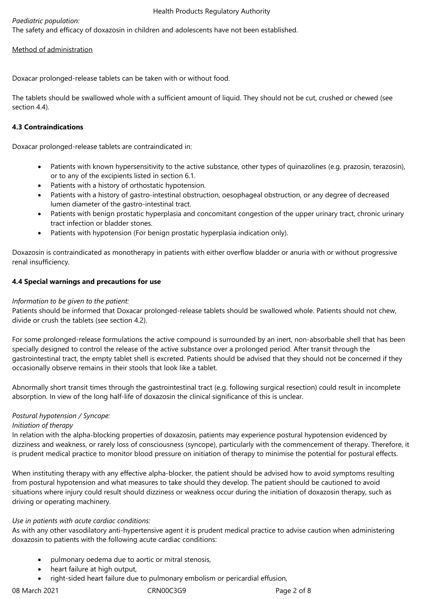# *Paediatric population:*

The safety and efficacy of doxazosin in children and adolescents have not been established.

## Method of administration

Doxacar prolonged-release tablets can be taken with or without food.

The tablets should be swallowed whole with a sufficient amount of liquid. They should not be cut, crushed or chewed (see section 4.4).

# **4.3 Contraindications**

Doxacar prolonged-release tablets are contraindicated in:

- Patients with known hypersensitivity to the active substance, other types of quinazolines (e.g. prazosin, terazosin), or to any of the excipients listed in section 6.1.
- Patients with a history of orthostatic hypotension.
- Patients with a history of gastro-intestinal obstruction, oesophageal obstruction, or any degree of decreased lumen diameter of the gastro-intestinal tract.
- Patients with benign prostatic hyperplasia and concomitant congestion of the upper urinary tract, chronic urinary tract infection or bladder stones.
- Patients with hypotension (For benign prostatic hyperplasia indication only).

Doxazosin is contraindicated as monotherapy in patients with either overflow bladder or anuria with or without progressive renal insufficiency.

## **4.4 Special warnings and precautions for use**

## *Information to be given to the patient:*

Patients should be informed that Doxacar prolonged-release tablets should be swallowed whole. Patients should not chew, divide or crush the tablets (see section 4.2).

For some prolonged-release formulations the active compound is surrounded by an inert, non-absorbable shell that has been specially designed to control the release of the active substance over a prolonged period. After transit through the gastrointestinal tract, the empty tablet shell is excreted. Patients should be advised that they should not be concerned if they occasionally observe remains in their stools that look like a tablet.

Abnormally short transit times through the gastrointestinal tract (e.g. following surgical resection) could result in incomplete absorption. In view of the long half-life of doxazosin the clinical significance of this is unclear.

## *Postural hypotension / Syncope:*

## *Initiation of therapy*

In relation with the alpha-blocking properties of doxazosin, patients may experience postural hypotension evidenced by dizziness and weakness, or rarely loss of consciousness (syncope), particularly with the commencement of therapy. Therefore, it is prudent medical practice to monitor blood pressure on initiation of therapy to minimise the potential for postural effects.

When instituting therapy with any effective alpha-blocker, the patient should be advised how to avoid symptoms resulting from postural hypotension and what measures to take should they develop. The patient should be cautioned to avoid situations where injury could result should dizziness or weakness occur during the initiation of doxazosin therapy, such as driving or operating machinery.

## *Use in patients with acute cardiac conditions:*

As with any other vasodilatory anti-hypertensive agent it is prudent medical practice to advise caution when administering doxazosin to patients with the following acute cardiac conditions:

- pulmonary oedema due to aortic or mitral stenosis,
- heart failure at high output,
- right-sided heart failure due to pulmonary embolism or pericardial effusion,

08 March 2021 **CRN00C3G9** CRN00C3G9 Page 2 of 8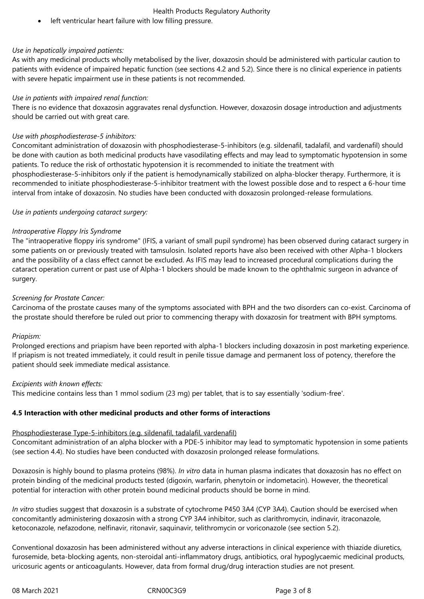## Health Products Regulatory Authority

left ventricular heart failure with low filling pressure.

## *Use in hepatically impaired patients:*

As with any medicinal products wholly metabolised by the liver, doxazosin should be administered with particular caution to patients with evidence of impaired hepatic function (see sections 4.2 and 5.2). Since there is no clinical experience in patients with severe hepatic impairment use in these patients is not recommended.

## *Use in patients with impaired renal function:*

There is no evidence that doxazosin aggravates renal dysfunction. However, doxazosin dosage introduction and adjustments should be carried out with great care.

## *Use with phosphodiesterase-5 inhibitors:*

Concomitant administration of doxazosin with phosphodiesterase-5-inhibitors (e.g. sildenafil, tadalafil, and vardenafil) should be done with caution as both medicinal products have vasodilating effects and may lead to symptomatic hypotension in some patients. To reduce the risk of orthostatic hypotension it is recommended to initiate the treatment with phosphodiesterase-5-inhibitors only if the patient is hemodynamically stabilized on alpha-blocker therapy. Furthermore, it is recommended to initiate phosphodiesterase-5-inhibitor treatment with the lowest possible dose and to respect a 6-hour time interval from intake of doxazosin. No studies have been conducted with doxazosin prolonged-release formulations.

#### *Use in patients undergoing cataract surgery:*

#### *Intraoperative Floppy Iris Syndrome*

The "intraoperative floppy iris syndrome" (IFIS, a variant of small pupil syndrome) has been observed during cataract surgery in some patients on or previously treated with tamsulosin. Isolated reports have also been received with other Alpha-1 blockers and the possibility of a class effect cannot be excluded. As IFIS may lead to increased procedural complications during the cataract operation current or past use of Alpha-1 blockers should be made known to the ophthalmic surgeon in advance of surgery.

#### *Screening for Prostate Cancer:*

Carcinoma of the prostate causes many of the symptoms associated with BPH and the two disorders can co-exist. Carcinoma of the prostate should therefore be ruled out prior to commencing therapy with doxazosin for treatment with BPH symptoms.

## *Priapism:*

Prolonged erections and priapism have been reported with alpha-1 blockers including doxazosin in post marketing experience. If priapism is not treated immediately, it could result in penile tissue damage and permanent loss of potency, therefore the patient should seek immediate medical assistance.

#### *Excipients with known effects:*

This medicine contains less than 1 mmol sodium (23 mg) per tablet, that is to say essentially 'sodium-free'.

## **4.5 Interaction with other medicinal products and other forms of interactions**

#### Phosphodiesterase Type-5-inhibitors (e.g. sildenafil, tadalafil, vardenafil)

Concomitant administration of an alpha blocker with a PDE-5 inhibitor may lead to symptomatic hypotension in some patients (see section 4.4). No studies have been conducted with doxazosin prolonged release formulations.

Doxazosin is highly bound to plasma proteins (98%). *In vitro* data in human plasma indicates that doxazosin has no effect on protein binding of the medicinal products tested (digoxin, warfarin, phenytoin or indometacin). However, the theoretical potential for interaction with other protein bound medicinal products should be borne in mind.

*In vitro* studies suggest that doxazosin is a substrate of cytochrome P450 3A4 (CYP 3A4). Caution should be exercised when concomitantly administering doxazosin with a strong CYP 3A4 inhibitor, such as clarithromycin, indinavir, itraconazole, ketoconazole, nefazodone, nelfinavir, ritonavir, saquinavir, telithromycin or voriconazole (see section 5.2).

Conventional doxazosin has been administered without any adverse interactions in clinical experience with thiazide diuretics, furosemide, beta-blocking agents, non-steroidal anti-inflammatory drugs, antibiotics, oral hypoglycaemic medicinal products, uricosuric agents or anticoagulants. However, data from formal drug/drug interaction studies are not present.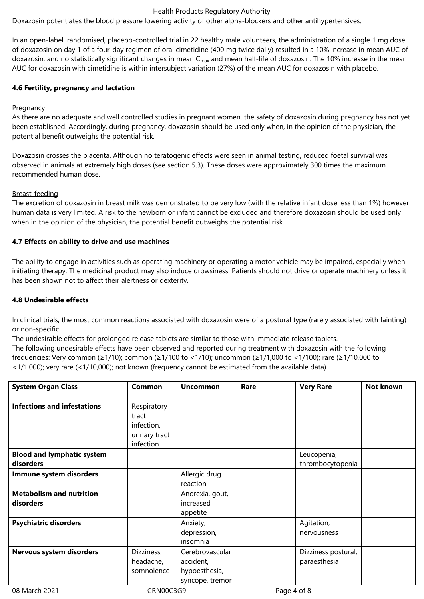#### Health Products Regulatory Authority

Doxazosin potentiates the blood pressure lowering activity of other alpha-blockers and other antihypertensives.

In an open-label, randomised, placebo-controlled trial in 22 healthy male volunteers, the administration of a single 1 mg dose of doxazosin on day 1 of a four-day regimen of oral cimetidine (400 mg twice daily) resulted in a 10% increase in mean AUC of doxazosin, and no statistically significant changes in mean  $C_{\text{max}}$  and mean half-life of doxazosin. The 10% increase in the mean AUC for doxazosin with cimetidine is within intersubject variation (27%) of the mean AUC for doxazosin with placebo.

#### **4.6 Fertility, pregnancy and lactation**

#### Pregnancy

As there are no adequate and well controlled studies in pregnant women, the safety of doxazosin during pregnancy has not yet been established. Accordingly, during pregnancy, doxazosin should be used only when, in the opinion of the physician, the potential benefit outweighs the potential risk.

Doxazosin crosses the placenta. Although no teratogenic effects were seen in animal testing, reduced foetal survival was observed in animals at extremely high doses (see section 5.3). These doses were approximately 300 times the maximum recommended human dose.

#### Breast-feeding

The excretion of doxazosin in breast milk was demonstrated to be very low (with the relative infant dose less than 1%) however human data is very limited. A risk to the newborn or infant cannot be excluded and therefore doxazosin should be used only when in the opinion of the physician, the potential benefit outweighs the potential risk.

#### **4.7 Effects on ability to drive and use machines**

The ability to engage in activities such as operating machinery or operating a motor vehicle may be impaired, especially when initiating therapy. The medicinal product may also induce drowsiness. Patients should not drive or operate machinery unless it has been shown not to affect their alertness or dexterity.

#### **4.8 Undesirable effects**

In clinical trials, the most common reactions associated with doxazosin were of a postural type (rarely associated with fainting) or non-specific.

The undesirable effects for prolonged release tablets are similar to those with immediate release tablets. The following undesirable effects have been observed and reported during treatment with doxazosin with the following frequencies: Very common (≥1/10); common (≥1/100 to <1/10); uncommon (≥1/1,000 to <1/100); rare (≥1/10,000 to <1/1,000); very rare (<1/10,000); not known (frequency cannot be estimated from the available data).

| <b>System Organ Class</b>                      | Common                                                           | <b>Uncommon</b>                                                  | Rare        | <b>Very Rare</b>                    | <b>Not known</b> |
|------------------------------------------------|------------------------------------------------------------------|------------------------------------------------------------------|-------------|-------------------------------------|------------------|
| <b>Infections and infestations</b>             | Respiratory<br>tract<br>infection,<br>urinary tract<br>infection |                                                                  |             |                                     |                  |
| <b>Blood and lymphatic system</b><br>disorders |                                                                  |                                                                  |             | Leucopenia,<br>thrombocytopenia     |                  |
| Immune system disorders                        |                                                                  | Allergic drug<br>reaction                                        |             |                                     |                  |
| <b>Metabolism and nutrition</b><br>disorders   |                                                                  | Anorexia, gout,<br>increased<br>appetite                         |             |                                     |                  |
| <b>Psychiatric disorders</b>                   |                                                                  | Anxiety,<br>depression,<br>insomnia                              |             | Agitation,<br>nervousness           |                  |
| Nervous system disorders                       | Dizziness,<br>headache,<br>somnolence                            | Cerebrovascular<br>accident,<br>hypoesthesia,<br>syncope, tremor |             | Dizziness postural,<br>paraesthesia |                  |
| 08 March 2021                                  | <b>CRN00C3G9</b>                                                 |                                                                  | Page 4 of 8 |                                     |                  |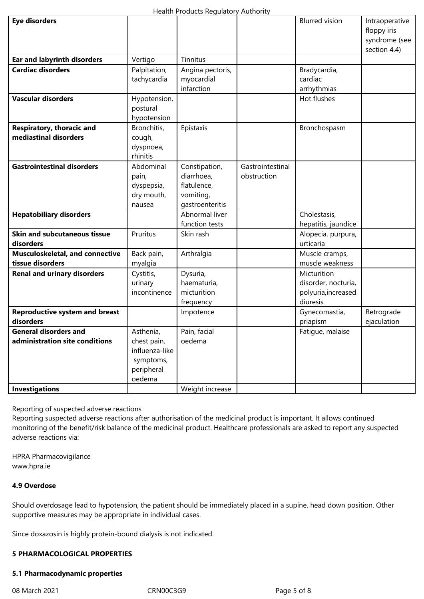| <b>Eye disorders</b>                  |                |                  |                  | <b>Blurred vision</b> | Intraoperative<br>floppy iris |
|---------------------------------------|----------------|------------------|------------------|-----------------------|-------------------------------|
|                                       |                |                  |                  |                       | syndrome (see                 |
|                                       |                |                  |                  |                       | section 4.4)                  |
| <b>Ear and labyrinth disorders</b>    | Vertigo        | Tinnitus         |                  |                       |                               |
| <b>Cardiac disorders</b>              | Palpitation,   | Angina pectoris, |                  | Bradycardia,          |                               |
|                                       | tachycardia    | myocardial       |                  | cardiac               |                               |
|                                       |                | infarction       |                  | arrhythmias           |                               |
| <b>Vascular disorders</b>             | Hypotension,   |                  |                  | Hot flushes           |                               |
|                                       | postural       |                  |                  |                       |                               |
|                                       | hypotension    |                  |                  |                       |                               |
| Respiratory, thoracic and             | Bronchitis,    | Epistaxis        |                  | Bronchospasm          |                               |
| mediastinal disorders                 | cough,         |                  |                  |                       |                               |
|                                       | dyspnoea,      |                  |                  |                       |                               |
|                                       | rhinitis       |                  |                  |                       |                               |
| <b>Gastrointestinal disorders</b>     | Abdominal      | Constipation,    | Gastrointestinal |                       |                               |
|                                       | pain,          | diarrhoea,       | obstruction      |                       |                               |
|                                       | dyspepsia,     | flatulence,      |                  |                       |                               |
|                                       | dry mouth,     | vomiting,        |                  |                       |                               |
|                                       | nausea         | gastroenteritis  |                  |                       |                               |
| <b>Hepatobiliary disorders</b>        |                | Abnormal liver   |                  | Cholestasis,          |                               |
|                                       |                | function tests   |                  | hepatitis, jaundice   |                               |
| <b>Skin and subcutaneous tissue</b>   | Pruritus       | Skin rash        |                  | Alopecia, purpura,    |                               |
| disorders                             |                |                  |                  | urticaria             |                               |
| Musculoskeletal, and connective       | Back pain,     | Arthralgia       |                  | Muscle cramps,        |                               |
| tissue disorders                      | myalgia        |                  |                  | muscle weakness       |                               |
| <b>Renal and urinary disorders</b>    | Cystitis,      | Dysuria,         |                  | Micturition           |                               |
|                                       | urinary        | haematuria,      |                  | disorder, nocturia,   |                               |
|                                       | incontinence   | micturition      |                  | polyuria, increased   |                               |
|                                       |                | frequency        |                  | diuresis              |                               |
| <b>Reproductive system and breast</b> |                | Impotence        |                  | Gynecomastia,         | Retrograde                    |
| disorders                             |                |                  |                  | priapism              | ejaculation                   |
| <b>General disorders and</b>          | Asthenia,      | Pain, facial     |                  | Fatique, malaise      |                               |
| administration site conditions        | chest pain,    | oedema           |                  |                       |                               |
|                                       | influenza-like |                  |                  |                       |                               |
|                                       | symptoms,      |                  |                  |                       |                               |
|                                       | peripheral     |                  |                  |                       |                               |
|                                       | oedema         |                  |                  |                       |                               |
| <b>Investigations</b>                 |                | Weight increase  |                  |                       |                               |

Reporting of suspected adverse reactions

Reporting suspected adverse reactions after authorisation of the medicinal product is important. It allows continued monitoring of the benefit/risk balance of the medicinal product. Healthcare professionals are asked to report any suspected adverse reactions via:

HPRA Pharmacovigilance www.hpra.ie

# **4.9 Overdose**

Should overdosage lead to hypotension, the patient should be immediately placed in a supine, head down position. Other supportive measures may be appropriate in individual cases.

Since doxazosin is highly protein-bound dialysis is not indicated.

# **5 PHARMACOLOGICAL PROPERTIES**

# **5.1 Pharmacodynamic properties**

08 March 2021 **CRN00C3G9** CRN00C3G9 Page 5 of 8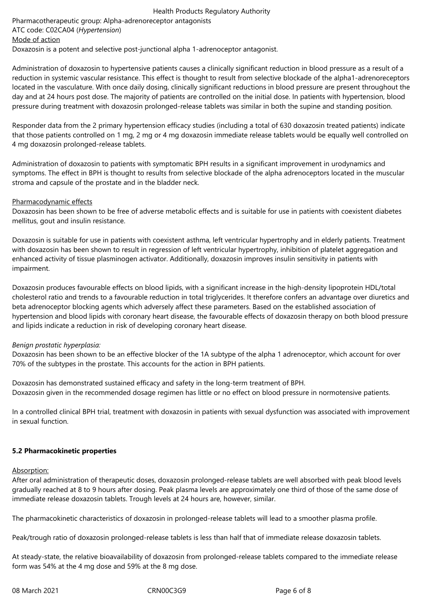## Health Products Regulatory Authority Pharmacotherapeutic group: Alpha-adrenoreceptor antagonists ATC code: C02CA04 (*Hypertension*) Mode of action Doxazosin is a potent and selective post-junctional alpha 1-adrenoceptor antagonist.

Administration of doxazosin to hypertensive patients causes a clinically significant reduction in blood pressure as a result of a reduction in systemic vascular resistance. This effect is thought to result from selective blockade of the alpha1-adrenoreceptors located in the vasculature. With once daily dosing, clinically significant reductions in blood pressure are present throughout the day and at 24 hours post dose. The majority of patients are controlled on the initial dose. In patients with hypertension, blood pressure during treatment with doxazosin prolonged-release tablets was similar in both the supine and standing position.

Responder data from the 2 primary hypertension efficacy studies (including a total of 630 doxazosin treated patients) indicate that those patients controlled on 1 mg, 2 mg or 4 mg doxazosin immediate release tablets would be equally well controlled on 4 mg doxazosin prolonged-release tablets.

Administration of doxazosin to patients with symptomatic BPH results in a significant improvement in urodynamics and symptoms. The effect in BPH is thought to results from selective blockade of the alpha adrenoceptors located in the muscular stroma and capsule of the prostate and in the bladder neck.

## Pharmacodynamic effects

Doxazosin has been shown to be free of adverse metabolic effects and is suitable for use in patients with coexistent diabetes mellitus, gout and insulin resistance.

Doxazosin is suitable for use in patients with coexistent asthma, left ventricular hypertrophy and in elderly patients. Treatment with doxazosin has been shown to result in regression of left ventricular hypertrophy, inhibition of platelet aggregation and enhanced activity of tissue plasminogen activator. Additionally, doxazosin improves insulin sensitivity in patients with impairment.

Doxazosin produces favourable effects on blood lipids, with a significant increase in the high-density lipoprotein HDL/total cholesterol ratio and trends to a favourable reduction in total triglycerides. It therefore confers an advantage over diuretics and beta adrenoceptor blocking agents which adversely affect these parameters. Based on the established association of hypertension and blood lipids with coronary heart disease, the favourable effects of doxazosin therapy on both blood pressure and lipids indicate a reduction in risk of developing coronary heart disease.

# *Benign prostatic hyperplasia:*

Doxazosin has been shown to be an effective blocker of the 1A subtype of the alpha 1 adrenoceptor, which account for over 70% of the subtypes in the prostate. This accounts for the action in BPH patients.

Doxazosin has demonstrated sustained efficacy and safety in the long-term treatment of BPH. Doxazosin given in the recommended dosage regimen has little or no effect on blood pressure in normotensive patients.

In a controlled clinical BPH trial, treatment with doxazosin in patients with sexual dysfunction was associated with improvement in sexual function.

## **5.2 Pharmacokinetic properties**

## Absorption:

After oral administration of therapeutic doses, doxazosin prolonged-release tablets are well absorbed with peak blood levels gradually reached at 8 to 9 hours after dosing. Peak plasma levels are approximately one third of those of the same dose of immediate release doxazosin tablets. Trough levels at 24 hours are, however, similar.

The pharmacokinetic characteristics of doxazosin in prolonged-release tablets will lead to a smoother plasma profile.

Peak/trough ratio of doxazosin prolonged-release tablets is less than half that of immediate release doxazosin tablets.

At steady-state, the relative bioavailability of doxazosin from prolonged-release tablets compared to the immediate release form was 54% at the 4 mg dose and 59% at the 8 mg dose.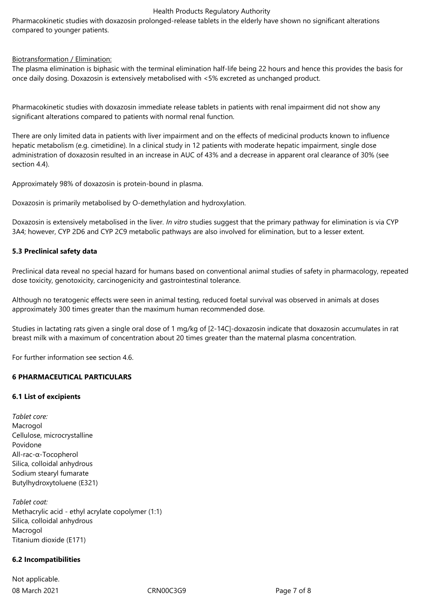#### Health Products Regulatory Authority

Pharmacokinetic studies with doxazosin prolonged-release tablets in the elderly have shown no significant alterations compared to younger patients.

## Biotransformation / Elimination:

The plasma elimination is biphasic with the terminal elimination half-life being 22 hours and hence this provides the basis for once daily dosing. Doxazosin is extensively metabolised with <5% excreted as unchanged product.

Pharmacokinetic studies with doxazosin immediate release tablets in patients with renal impairment did not show any significant alterations compared to patients with normal renal function.

There are only limited data in patients with liver impairment and on the effects of medicinal products known to influence hepatic metabolism (e.g. cimetidine). In a clinical study in 12 patients with moderate hepatic impairment, single dose administration of doxazosin resulted in an increase in AUC of 43% and a decrease in apparent oral clearance of 30% (see section 4.4).

Approximately 98% of doxazosin is protein-bound in plasma.

Doxazosin is primarily metabolised by O-demethylation and hydroxylation.

Doxazosin is extensively metabolised in the liver. *In vitro* studies suggest that the primary pathway for elimination is via CYP 3A4; however, CYP 2D6 and CYP 2C9 metabolic pathways are also involved for elimination, but to a lesser extent.

## **5.3 Preclinical safety data**

Preclinical data reveal no special hazard for humans based on conventional animal studies of safety in pharmacology, repeated dose toxicity, genotoxicity, carcinogenicity and gastrointestinal tolerance.

Although no teratogenic effects were seen in animal testing, reduced foetal survival was observed in animals at doses approximately 300 times greater than the maximum human recommended dose.

Studies in lactating rats given a single oral dose of 1 mg/kg of [2-14C]-doxazosin indicate that doxazosin accumulates in rat breast milk with a maximum of concentration about 20 times greater than the maternal plasma concentration.

For further information see section 4.6.

## **6 PHARMACEUTICAL PARTICULARS**

#### **6.1 List of excipients**

*Tablet core:* Macrogol Cellulose, microcrystalline Povidone All-rac-α-Tocopherol Silica, colloidal anhydrous Sodium stearyl fumarate Butylhydroxytoluene (E321)

*Tablet coat:* Methacrylic acid - ethyl acrylate copolymer (1:1) Silica, colloidal anhydrous Macrogol Titanium dioxide (E171)

## **6.2 Incompatibilities**

08 March 2021 CRN00C3G9 Page 7 of 8 Not applicable.